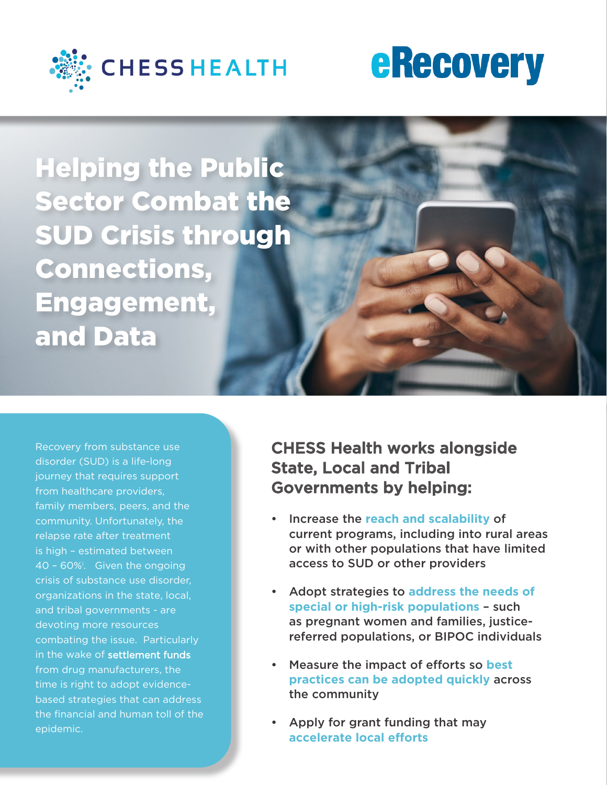

Helping the Public Sector Combat the SUD Crisis through Connections, Engagement, and Data

Recovery from substance use disorder (SUD) is a life-long journey that requires support from healthcare providers, family members, peers, and the community. Unfortunately, the relapse rate after treatment is high – estimated between 40 – 60%<sup>i</sup> . Given the ongoing crisis of substance use disorder, organizations in the state, local, and tribal governments - are devoting more resources combating the issue. Particularly in the wake of settlement funds from drug manufacturers, the time is right to adopt evidencebased strategies that can address the financial and human toll of the epidemic.

CHESS Health works alongside State, Local and Tribal Governments by helping:

- Increase the **reach and scalability** of current programs, including into rural areas or with other populations that have limited access to SUD or other providers
- Adopt strategies to **address the needs of special or high-risk populations** – such as pregnant women and families, justicereferred populations, or BIPOC individuals
- Measure the impact of efforts so **best practices can be adopted quickly** across the community
- Apply for grant funding that may **accelerate local efforts**